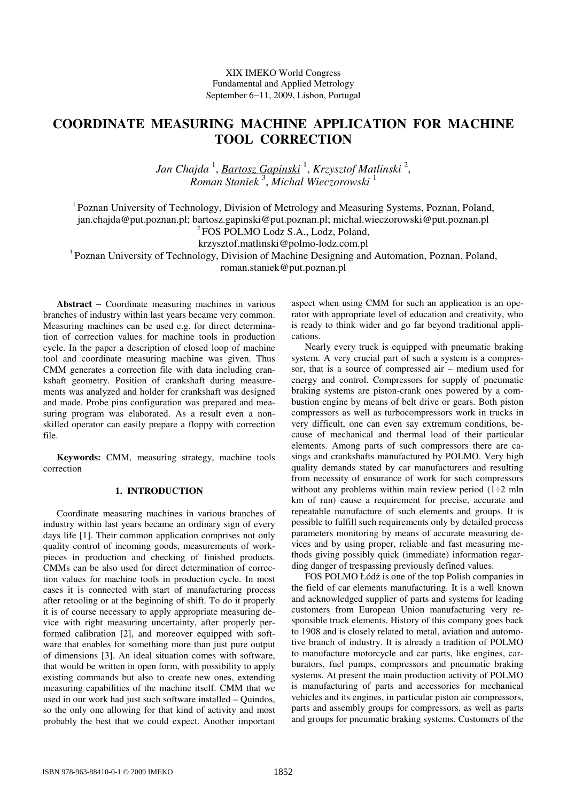XIX IMEKO World Congress Fundamental and Applied Metrology September 6−11, 2009, Lisbon, Portugal

# **COORDINATE MEASURING MACHINE APPLICATION FOR MACHINE TOOL CORRECTION**

Jan Chajda <sup>1</sup>, <u>Bartosz Gapinski</u> <sup>1</sup>, Krzysztof Matlinski <sup>2</sup>, *Roman Staniek* <sup>3</sup> , *Michal Wieczorowski* <sup>1</sup>

<sup>1</sup> Poznan University of Technology, Division of Metrology and Measuring Systems, Poznan, Poland, jan.chajda@put.poznan.pl; bartosz.gapinski@put.poznan.pl; michal.wieczorowski@put.poznan.pl

<sup>2</sup> FOS POLMO Lodz S.A., Lodz, Poland,

krzysztof.matlinski@polmo-lodz.com.pl

<sup>3</sup> Poznan University of Technology, Division of Machine Designing and Automation, Poznan, Poland,

roman.staniek@put.poznan.pl

**Abstract** − Coordinate measuring machines in various branches of industry within last years became very common. Measuring machines can be used e.g. for direct determination of correction values for machine tools in production cycle. In the paper a description of closed loop of machine tool and coordinate measuring machine was given. Thus CMM generates a correction file with data including crankshaft geometry. Position of crankshaft during measurements was analyzed and holder for crankshaft was designed and made. Probe pins configuration was prepared and measuring program was elaborated. As a result even a nonskilled operator can easily prepare a floppy with correction file.

**Keywords:** CMM, measuring strategy, machine tools correction

#### **1. INTRODUCTION**

Coordinate measuring machines in various branches of industry within last years became an ordinary sign of every days life [1]. Their common application comprises not only quality control of incoming goods, measurements of workpieces in production and checking of finished products. CMMs can be also used for direct determination of correction values for machine tools in production cycle. In most cases it is connected with start of manufacturing process after retooling or at the beginning of shift. To do it properly it is of course necessary to apply appropriate measuring device with right measuring uncertainty, after properly performed calibration [2], and moreover equipped with software that enables for something more than just pure output of dimensions [3]. An ideal situation comes with software, that would be written in open form, with possibility to apply existing commands but also to create new ones, extending measuring capabilities of the machine itself. CMM that we used in our work had just such software installed – Quindos, so the only one allowing for that kind of activity and most probably the best that we could expect. Another important

aspect when using CMM for such an application is an operator with appropriate level of education and creativity, who is ready to think wider and go far beyond traditional applications.

Nearly every truck is equipped with pneumatic braking system. A very crucial part of such a system is a compressor, that is a source of compressed air – medium used for energy and control. Compressors for supply of pneumatic braking systems are piston-crank ones powered by a combustion engine by means of belt drive or gears. Both piston compressors as well as turbocompressors work in trucks in very difficult, one can even say extremum conditions, because of mechanical and thermal load of their particular elements. Among parts of such compressors there are casings and crankshafts manufactured by POLMO. Very high quality demands stated by car manufacturers and resulting from necessity of ensurance of work for such compressors without any problems within main review period  $(1\div 2$  mln km of run) cause a requirement for precise, accurate and repeatable manufacture of such elements and groups. It is possible to fulfill such requirements only by detailed process parameters monitoring by means of accurate measuring devices and by using proper, reliable and fast measuring methods giving possibly quick (immediate) information regarding danger of trespassing previously defined values.

FOS POLMO Łódź is one of the top Polish companies in the field of car elements manufacturing. It is a well known and acknowledged supplier of parts and systems for leading customers from European Union manufacturing very responsible truck elements. History of this company goes back to 1908 and is closely related to metal, aviation and automotive branch of industry. It is already a tradition of POLMO to manufacture motorcycle and car parts, like engines, carburators, fuel pumps, compressors and pneumatic braking systems. At present the main production activity of POLMO is manufacturing of parts and accessories for mechanical vehicles and its engines, in particular piston air compressors, parts and assembly groups for compressors, as well as parts and groups for pneumatic braking systems. Customers of the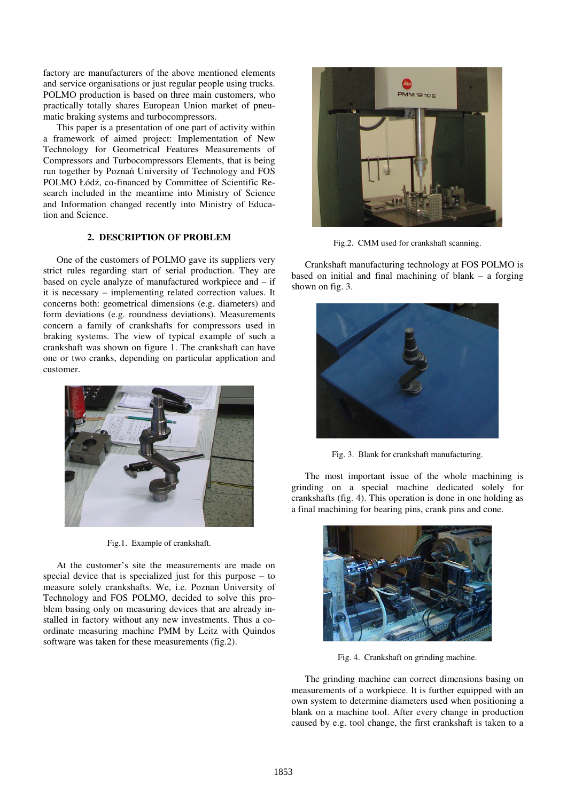factory are manufacturers of the above mentioned elements and service organisations or just regular people using trucks. POLMO production is based on three main customers, who practically totally shares European Union market of pneumatic braking systems and turbocompressors.

This paper is a presentation of one part of activity within a framework of aimed project: Implementation of New Technology for Geometrical Features Measurements of Compressors and Turbocompressors Elements, that is being run together by Poznań University of Technology and FOS POLMO Łódź, co-financed by Committee of Scientific Research included in the meantime into Ministry of Science and Information changed recently into Ministry of Education and Science.

# **2. DESCRIPTION OF PROBLEM**

One of the customers of POLMO gave its suppliers very strict rules regarding start of serial production. They are based on cycle analyze of manufactured workpiece and – if it is necessary – implementing related correction values. It concerns both: geometrical dimensions (e.g. diameters) and form deviations (e.g. roundness deviations). Measurements concern a family of crankshafts for compressors used in braking systems. The view of typical example of such a crankshaft was shown on figure 1. The crankshaft can have one or two cranks, depending on particular application and customer.



Fig.1. Example of crankshaft.

At the customer's site the measurements are made on special device that is specialized just for this purpose – to measure solely crankshafts. We, i.e. Poznan University of Technology and FOS POLMO, decided to solve this problem basing only on measuring devices that are already installed in factory without any new investments. Thus a coordinate measuring machine PMM by Leitz with Quindos software was taken for these measurements (fig.2).



Fig.2. CMM used for crankshaft scanning.

Crankshaft manufacturing technology at FOS POLMO is based on initial and final machining of blank – a forging shown on fig. 3.



Fig. 3. Blank for crankshaft manufacturing.

The most important issue of the whole machining is grinding on a special machine dedicated solely for crankshafts (fig. 4). This operation is done in one holding as a final machining for bearing pins, crank pins and cone.



Fig. 4. Crankshaft on grinding machine.

The grinding machine can correct dimensions basing on measurements of a workpiece. It is further equipped with an own system to determine diameters used when positioning a blank on a machine tool. After every change in production caused by e.g. tool change, the first crankshaft is taken to a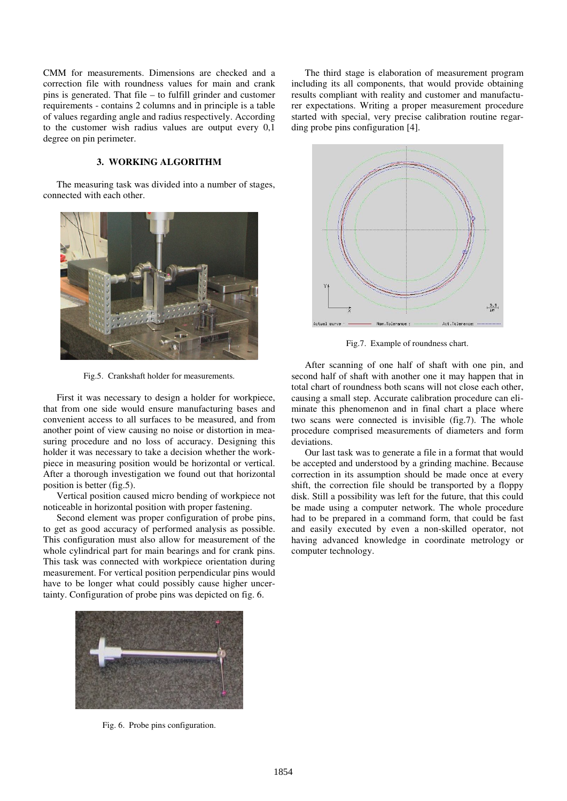CMM for measurements. Dimensions are checked and a correction file with roundness values for main and crank pins is generated. That file – to fulfill grinder and customer requirements - contains 2 columns and in principle is a table of values regarding angle and radius respectively. According to the customer wish radius values are output every 0,1 degree on pin perimeter.

## **3. WORKING ALGORITHM**

The measuring task was divided into a number of stages, connected with each other.



Fig.5. Crankshaft holder for measurements.

First it was necessary to design a holder for workpiece, that from one side would ensure manufacturing bases and convenient access to all surfaces to be measured, and from another point of view causing no noise or distortion in measuring procedure and no loss of accuracy. Designing this holder it was necessary to take a decision whether the workpiece in measuring position would be horizontal or vertical. After a thorough investigation we found out that horizontal position is better (fig.5).

Vertical position caused micro bending of workpiece not noticeable in horizontal position with proper fastening.

Second element was proper configuration of probe pins, to get as good accuracy of performed analysis as possible. This configuration must also allow for measurement of the whole cylindrical part for main bearings and for crank pins. This task was connected with workpiece orientation during measurement. For vertical position perpendicular pins would have to be longer what could possibly cause higher uncertainty. Configuration of probe pins was depicted on fig. 6.



Fig. 6. Probe pins configuration.

The third stage is elaboration of measurement program including its all components, that would provide obtaining results compliant with reality and customer and manufacturer expectations. Writing a proper measurement procedure started with special, very precise calibration routine regarding probe pins configuration [4].



Fig.7. Example of roundness chart.

After scanning of one half of shaft with one pin, and second half of shaft with another one it may happen that in total chart of roundness both scans will not close each other, causing a small step. Accurate calibration procedure can eliminate this phenomenon and in final chart a place where two scans were connected is invisible (fig.7). The whole procedure comprised measurements of diameters and form deviations.

Our last task was to generate a file in a format that would be accepted and understood by a grinding machine. Because correction in its assumption should be made once at every shift, the correction file should be transported by a floppy disk. Still a possibility was left for the future, that this could be made using a computer network. The whole procedure had to be prepared in a command form, that could be fast and easily executed by even a non-skilled operator, not having advanced knowledge in coordinate metrology or computer technology.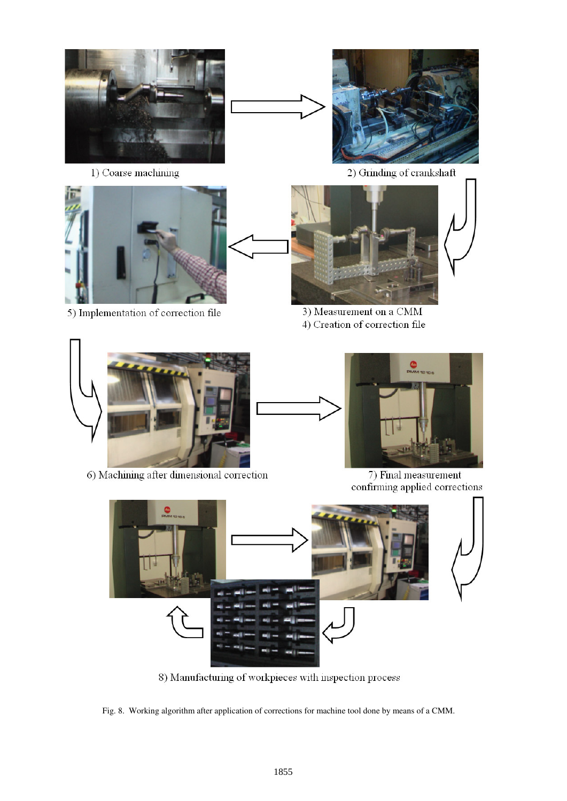

1) Coarse machining



5) Implementation of correction file



2) Grinding of crankshaft



3) Measurement on a CMM 4) Creation of correction file



6) Machining after dimensional correction



7) Final measurement confirming applied corrections



8) Manufacturing of workpieces with inspection process

Fig. 8. Working algorithm after application of corrections for machine tool done by means of a CMM.